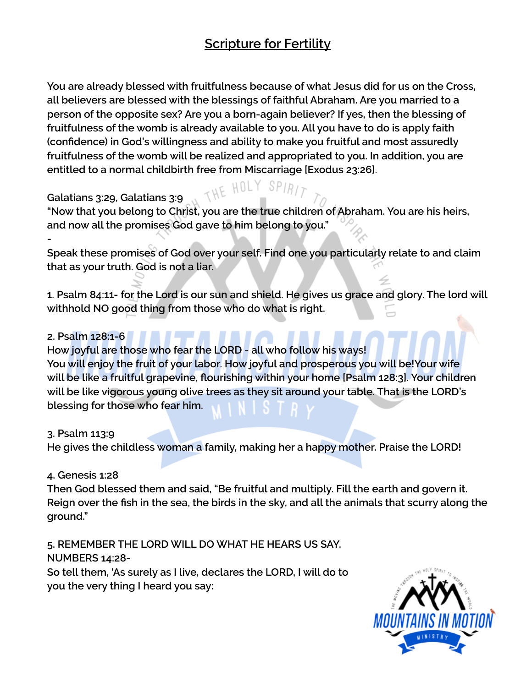# **Scripture for Fertility**

**You are already blessed with fruitfulness because of what Jesus did for us on the Cross, all believers are blessed with the blessings of faithful Abraham. Are you married to a person of the opposite sex? Are you a born-again believer? If yes, then the blessing of fruitfulness of the womb is already available to you. All you have to do is apply faith (confidence) in God's willingness and ability to make you fruitful and most assuredly fruitfulness of the womb will be realized and appropriated to you. In addition, you are entitled to a normal childbirth free from Miscarriage [Exodus 23:26].**

## **Galatians 3:29, Galatians 3:9**

**"Now that you belong to Christ, you are the true children of Abraham. You are his heirs, and now all the promises God gave to him belong to you."**

THE HOLY

**Speak these promises of God over your self. Find one you particularly relate to and claim that as your truth. God is not a liar.**

**1. Psalm 84:11- for the Lord is our sun and shield. He gives us grace and glory. The lord will withhold NO good thing from those who do what is right.**

### **2. Psalm 128:1-6**

**-**

**How joyful are those who fear the LORD - all who follow his ways! You will enjoy the fruit of your labor. How joyful and prosperous you will be!Your wife will be like a fruitful grapevine, flourishing within your home [Psalm 128:3]. Your children will be like vigorous young olive trees as they sit around your table. That is the LORD's blessing for those who fear him.**

#### **3. Psalm 113:9**

**He gives the childless woman a family, making her a happy mother. Praise the LORD!**

## **4. Genesis 1:28**

**Then God blessed them and said, "Be fruitful and multiply. Fill the earth and govern it. Reign over the fish in the sea, the birds in the sky, and all the animals that scurry along the ground."**

**5. REMEMBER THE LORD WILL DO WHAT HE HEARS US SAY. NUMBERS 14:28- So tell them, 'As surely as I live, declares the LORD, I will do to you the very thing I heard you say:**